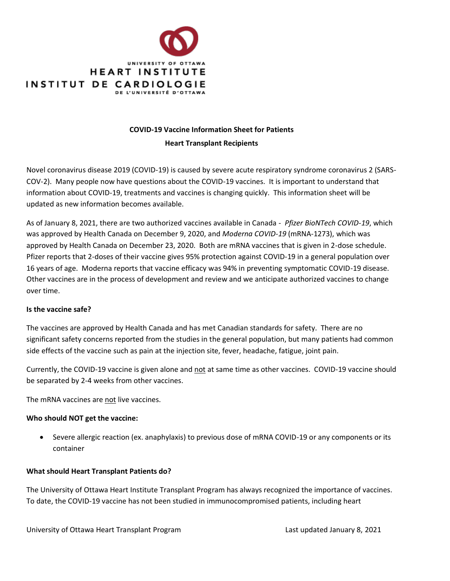

## **COVID-19 Vaccine Information Sheet for Patients**

#### **Heart Transplant Recipients**

Novel coronavirus disease 2019 (COVID-19) is caused by severe acute respiratory syndrome coronavirus 2 (SARS-COV-2). Many people now have questions about the COVID-19 vaccines. It is important to understand that information about COVID-19, treatments and vaccines is changing quickly. This information sheet will be updated as new information becomes available.

As of January 8, 2021, there are two authorized vaccines available in Canada - *Pfizer BioNTech COVID-19*, which was approved by Health Canada on December 9, 2020, and *Moderna COVID-19* (mRNA-1273), which was approved by Health Canada on December 23, 2020. Both are mRNA vaccines that is given in 2-dose schedule. Pfizer reports that 2-doses of their vaccine gives 95% protection against COVID-19 in a general population over 16 years of age. Moderna reports that vaccine efficacy was 94% in preventing symptomatic COVID-19 disease. Other vaccines are in the process of development and review and we anticipate authorized vaccines to change over time.

#### **Is the vaccine safe?**

The vaccines are approved by Health Canada and has met Canadian standards for safety. There are no significant safety concerns reported from the studies in the general population, but many patients had common side effects of the vaccine such as pain at the injection site, fever, headache, fatigue, joint pain.

Currently, the COVID-19 vaccine is given alone and not at same time as other vaccines. COVID-19 vaccine should be separated by 2-4 weeks from other vaccines.

The mRNA vaccines are not live vaccines.

#### **Who should NOT get the vaccine:**

• Severe allergic reaction (ex. anaphylaxis) to previous dose of mRNA COVID-19 or any components or its container

#### **What should Heart Transplant Patients do?**

The University of Ottawa Heart Institute Transplant Program has always recognized the importance of vaccines. To date, the COVID-19 vaccine has not been studied in immunocompromised patients, including heart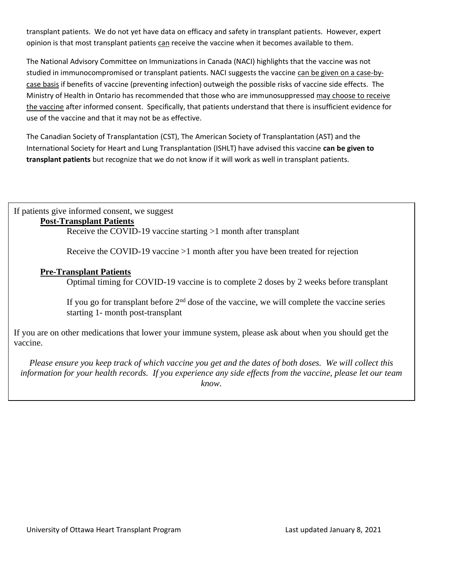transplant patients. We do not yet have data on efficacy and safety in transplant patients. However, expert opinion is that most transplant patients can receive the vaccine when it becomes available to them.

The National Advisory Committee on Immunizations in Canada (NACI) highlights that the vaccine was not studied in immunocompromised or transplant patients. NACI suggests the vaccine can be given on a case-bycase basis if benefits of vaccine (preventing infection) outweigh the possible risks of vaccine side effects. The Ministry of Health in Ontario has recommended that those who are immunosuppressed may choose to receive the vaccine after informed consent. Specifically, that patients understand that there is insufficient evidence for use of the vaccine and that it may not be as effective.

The Canadian Society of Transplantation (CST), The American Society of Transplantation (AST) and the International Society for Heart and Lung Transplantation (ISHLT) have advised this vaccine **can be given to transplant patients** but recognize that we do not know if it will work as well in transplant patients.

If patients give informed consent, we suggest

### **Post-Transplant Patients**

Receive the COVID-19 vaccine starting >1 month after transplant

Receive the COVID-19 vaccine >1 month after you have been treated for rejection

### **Pre-Transplant Patients**

Optimal timing for COVID-19 vaccine is to complete 2 doses by 2 weeks before transplant

If you go for transplant before  $2<sup>nd</sup>$  dose of the vaccine, we will complete the vaccine series starting 1- month post-transplant

If you are on other medications that lower your immune system, please ask about when you should get the vaccine.

*Please ensure you keep track of which vaccine you get and the dates of both doses. We will collect this information for your health records. If you experience any side effects from the vaccine, please let our team know.*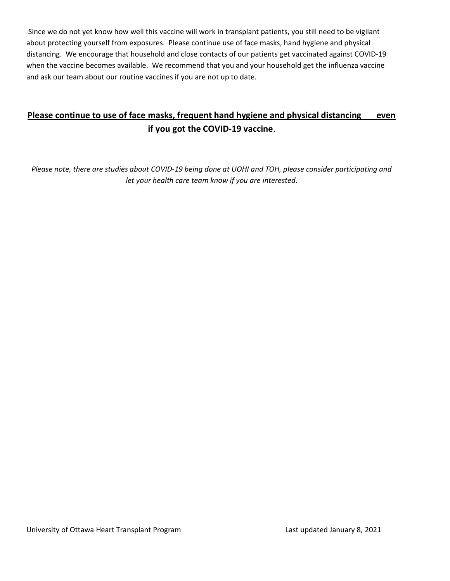Since we do not yet know how well this vaccine will work in transplant patients, you still need to be vigilant about protecting yourself from exposures. Please continue use of face masks, hand hygiene and physical distancing. We encourage that household and close contacts of our patients get vaccinated against COVID-19 when the vaccine becomes available. We recommend that you and your household get the influenza vaccine and ask our team about our routine vaccines if you are not up to date.

# **Please continue to use of face masks, frequent hand hygiene and physical distancing even if you got the COVID-19 vaccine**.

*Please note, there are studies about COVID-19 being done at UOHI and TOH, please consider participating and let your health care team know if you are interested.*